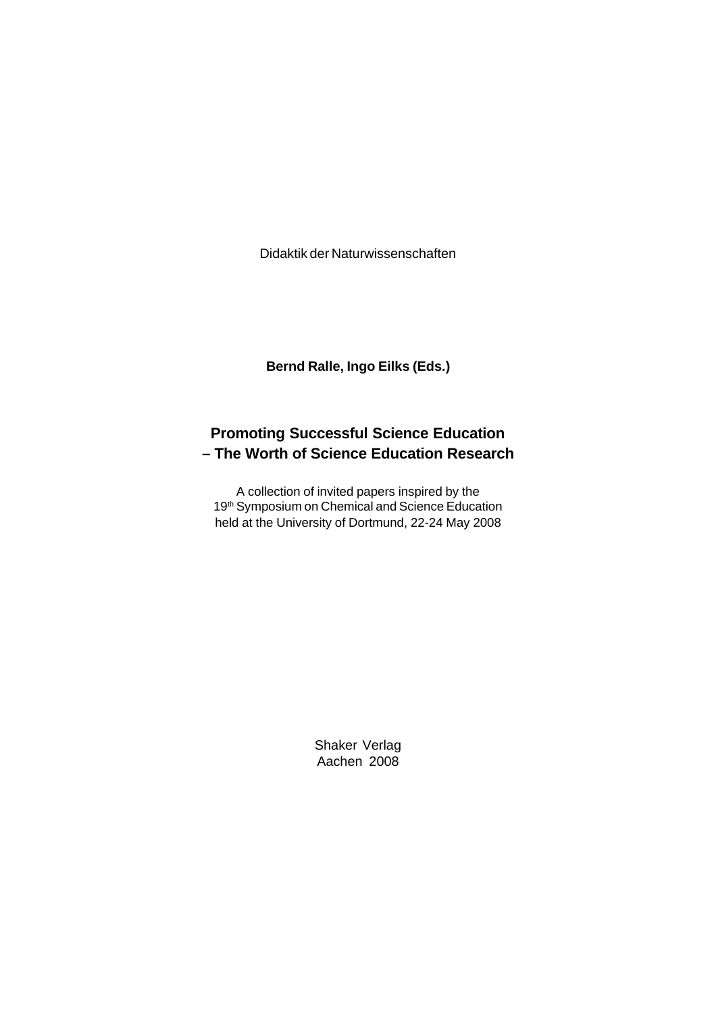Didaktik der Naturwissenschaften

**Bernd Ralle, Ingo Eilks (Eds.)**

## **Promoting Successful Science Education – The Worth of Science Education Research**

A collection of invited papers inspired by the 19<sup>th</sup> Symposium on Chemical and Science Education held at the University of Dortmund, 22-24 May 2008

> Shaker Verlag Aachen 2008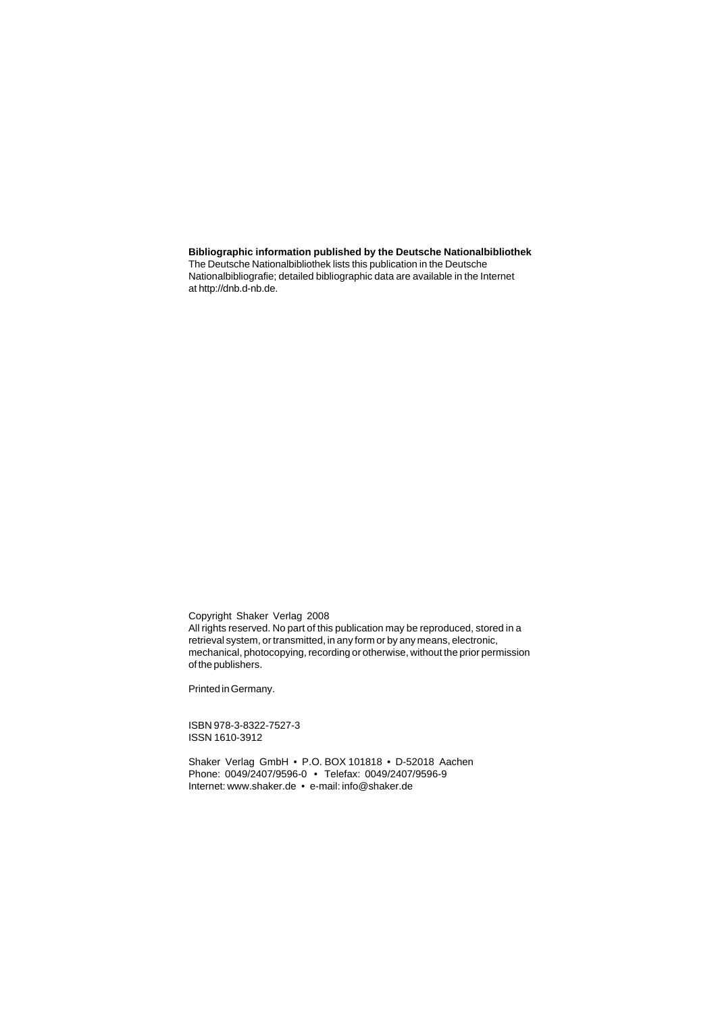## **Bibliographic information published by the Deutsche Nationalbibliothek**

The Deutsche Nationalbibliothek lists this publication in the Deutsche Nationalbibliografie; detailed bibliographic data are available in the Internet at http://dnb.d-nb.de.

Copyright Shaker Verlag 2008

All rights reserved. No part of this publication may be reproduced, stored in a retrieval system, or transmitted, in any form or by any means, electronic, mechanical, photocopying, recording or otherwise, without the prior permission of the publishers.

Printed in Germany.

ISBN 978-3-8322-7527-3 ISSN 1610-3912

Shaker Verlag GmbH • P.O. BOX 101818 • D-52018 Aachen Phone: 0049/2407/9596-0 • Telefax: 0049/2407/9596-9 Internet: www.shaker.de • e-mail: info@shaker.de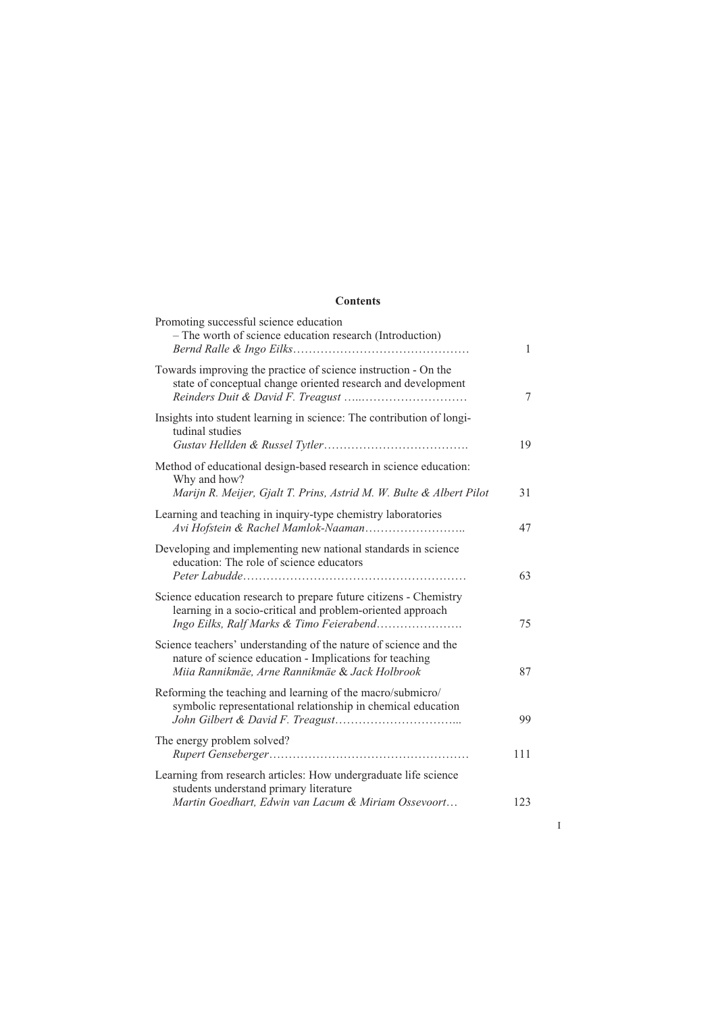## **Contents**

| Promoting successful science education<br>- The worth of science education research (Introduction)                                                                            | $\mathbf{1}$ |
|-------------------------------------------------------------------------------------------------------------------------------------------------------------------------------|--------------|
| Towards improving the practice of science instruction - On the<br>state of conceptual change oriented research and development                                                | $\tau$       |
| Insights into student learning in science: The contribution of longi-<br>tudinal studies                                                                                      | 19           |
| Method of educational design-based research in science education:<br>Why and how?<br>Marijn R. Meijer, Gjalt T. Prins, Astrid M. W. Bulte & Albert Pilot                      | 31           |
| Learning and teaching in inquiry-type chemistry laboratories                                                                                                                  | 47           |
| Developing and implementing new national standards in science<br>education: The role of science educators                                                                     | 63           |
| Science education research to prepare future citizens - Chemistry<br>learning in a socio-critical and problem-oriented approach<br>Ingo Eilks, Ralf Marks & Timo Feierabend   | 75           |
| Science teachers' understanding of the nature of science and the<br>nature of science education - Implications for teaching<br>Miia Rannikmäe, Arne Rannikmäe & Jack Holbrook | 87           |
| Reforming the teaching and learning of the macro/submicro/<br>symbolic representational relationship in chemical education                                                    | 99           |
| The energy problem solved?                                                                                                                                                    | 111          |
| Learning from research articles: How undergraduate life science<br>students understand primary literature<br>Martin Goedhart, Edwin van Lacum & Miriam Ossevoort              | 123          |
|                                                                                                                                                                               |              |